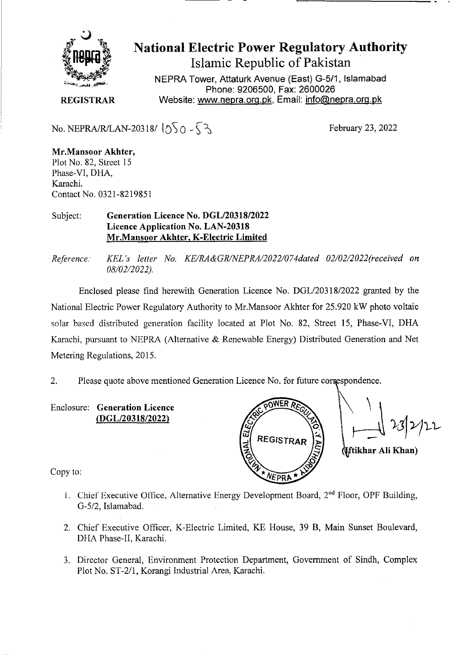

**National Electric Power Regulatory Authority Islamic Republic of Pakistan** 

**NEPRA Tower, Attaturk Avenue (East) G-5/1, Islamabad Phone: 9206500, Fax: 2600026 REGISTRAR** Website: www.nepra.org.pk, Email: info@nepra.org.pk

No. NEPRA/R/LAN-20318/ $\sqrt{50} - 53$ 

February 23, 2022

**Mr.Mansoor Akhter,**  Plot No. 82, Street 15 Phase-VI, DHA, Karachi. Contact No. 0321-821985 1

## Subject: **Generation Licence No. DGL/20318/2022 Licence Application No. LAN-20318 Mr.Mansoor Akhter, K-Electric Limited**

*Reference: KEL 's letter No. KE/RA&GR/NEPRA/2022/074dated 02/02/2022('received on*  08/02/2022).

Enclosed please find herewith Generation Licence No. DGL/203 18/2022 granted by the National Electric Power Regulatory Authority to Mr.Mansoor Akhter for 25.920 kW photo voltaic solar based distributed generation facility located at Plot No. 82, Street 15, Phase-VT, DHA Karachi, pursuant to NEPRA (Alternative & Renewable Energy) Distributed Generation and Net Metering Regulations, 2015.

2. Please quote above mentioned Generation Licence No. for future corrçspondence.

Enclosure: **Generation Licence (DGL/20318/2022)** 

REGISTRAR **EPRA** 

**ftikhar Au Khan)** 

Copy to:

- 1. Chief Executive Office, Alternative Energy Development Board, 2<sup>nd</sup> Floor, OPF Building, G-5/2, Islamabad.
- 2. Chief Executive Officer, K-Electric Limited, KE House, 39 B, Main Sunset Boulevard, DFIA Phase-Il, Karachi.
- 3. Director General, Environment Protection Department, Government of Sindh, Complex Plot No. ST-2/1, Korangi Industrial Area. Karachi.